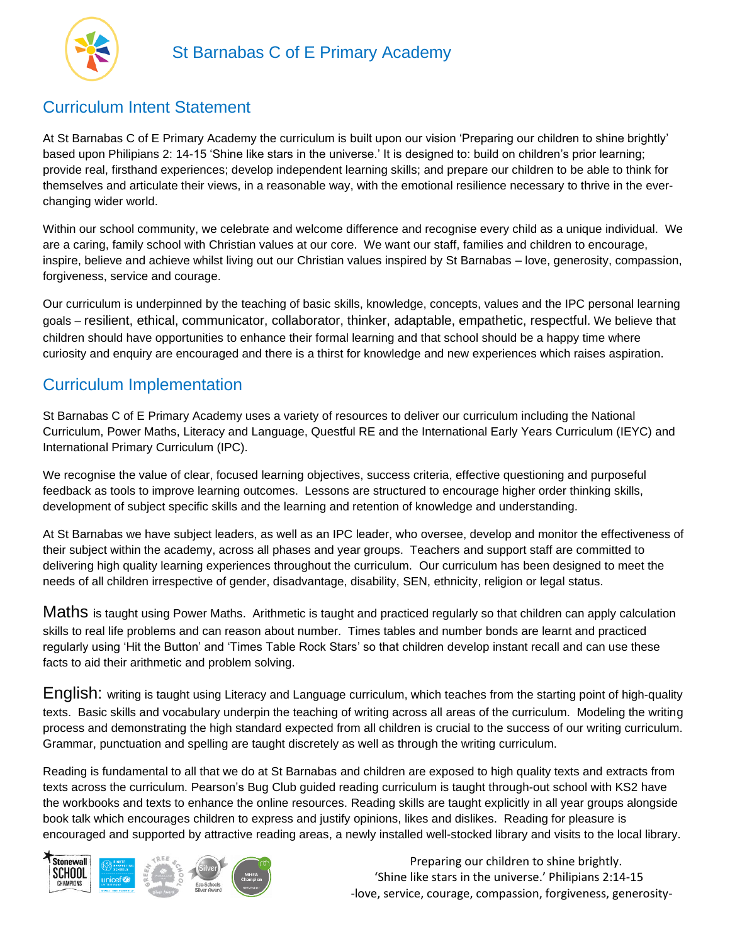

## Curriculum Intent Statement

At St Barnabas C of E Primary Academy the curriculum is built upon our vision 'Preparing our children to shine brightly' based upon Philipians 2: 14-15 'Shine like stars in the universe.' It is designed to: build on children's prior learning; provide real, firsthand experiences; develop independent learning skills; and prepare our children to be able to think for themselves and articulate their views, in a reasonable way, with the emotional resilience necessary to thrive in the everchanging wider world.

Within our school community, we celebrate and welcome difference and recognise every child as a unique individual. We are a caring, family school with Christian values at our core. We want our staff, families and children to encourage, inspire, believe and achieve whilst living out our Christian values inspired by St Barnabas – love, generosity, compassion, forgiveness, service and courage.

Our curriculum is underpinned by the teaching of basic skills, knowledge, concepts, values and the IPC personal learning goals – resilient, ethical, communicator, collaborator, thinker, adaptable, empathetic, respectful. We believe that children should have opportunities to enhance their formal learning and that school should be a happy time where curiosity and enquiry are encouraged and there is a thirst for knowledge and new experiences which raises aspiration.

## Curriculum Implementation

St Barnabas C of E Primary Academy uses a variety of resources to deliver our curriculum including the National Curriculum, Power Maths, Literacy and Language, Questful RE and the International Early Years Curriculum (IEYC) and International Primary Curriculum (IPC).

We recognise the value of clear, focused learning objectives, success criteria, effective questioning and purposeful feedback as tools to improve learning outcomes. Lessons are structured to encourage higher order thinking skills, development of subject specific skills and the learning and retention of knowledge and understanding.

At St Barnabas we have subject leaders, as well as an IPC leader, who oversee, develop and monitor the effectiveness of their subject within the academy, across all phases and year groups. Teachers and support staff are committed to delivering high quality learning experiences throughout the curriculum. Our curriculum has been designed to meet the needs of all children irrespective of gender, disadvantage, disability, SEN, ethnicity, religion or legal status.

Maths is taught using Power Maths. Arithmetic is taught and practiced regularly so that children can apply calculation skills to real life problems and can reason about number. Times tables and number bonds are learnt and practiced regularly using 'Hit the Button' and 'Times Table Rock Stars' so that children develop instant recall and can use these facts to aid their arithmetic and problem solving.

English: writing is taught using Literacy and Language curriculum, which teaches from the starting point of high-quality texts. Basic skills and vocabulary underpin the teaching of writing across all areas of the curriculum. Modeling the writing process and demonstrating the high standard expected from all children is crucial to the success of our writing curriculum. Grammar, punctuation and spelling are taught discretely as well as through the writing curriculum.

Reading is fundamental to all that we do at St Barnabas and children are exposed to high quality texts and extracts from texts across the curriculum. Pearson's Bug Club guided reading curriculum is taught through-out school with KS2 have the workbooks and texts to enhance the online resources. Reading skills are taught explicitly in all year groups alongside book talk which encourages children to express and justify opinions, likes and dislikes. Reading for pleasure is encouraged and supported by attractive reading areas, a newly installed well-stocked library and visits to the local library.



 Preparing our children to shine brightly. 'Shine like stars in the universe.' Philipians 2:14-15 -love, service, courage, compassion, forgiveness, generosity-